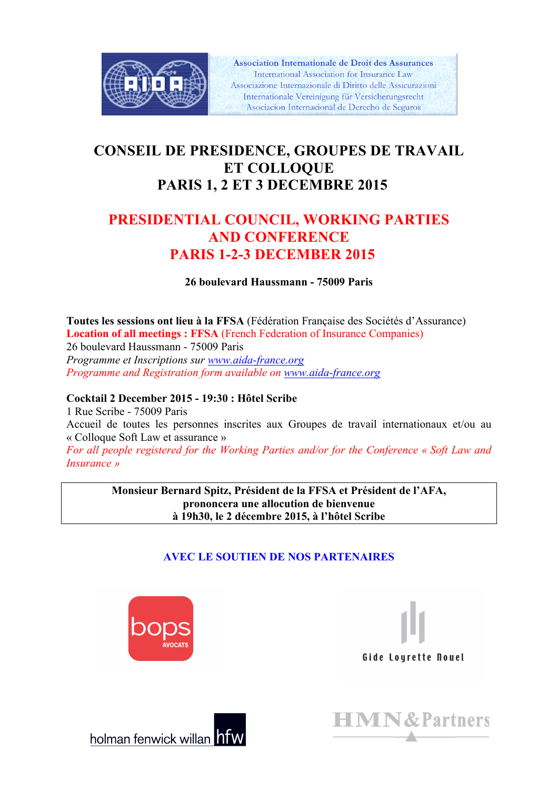

**Association Internationale de Droit des Assurances** International Association for Insurance Law Associazione Internazionale di Diritto delle Assicurazioni Internationale Vereinigung für Versicherungsrecht Asociacion Internacional de Derecho de Seguros

# **CONSEIL DE PRESIDENCE, GROUPES DE TRAVAIL ET COLLOQUE PARIS 1, 2 ET 3 DECEMBRE 2015**

# **PRESIDENTIAL COUNCIL, WORKING PARTIES AND CONFERENCE PARIS 1-2-3 DECEMBER 2015**

**26 boulevard Haussmann - 75009 Paris**

**Toutes les sessions ont lieu à la FFSA** (Fédération Française des Sociétés d'Assurance) **Location of all meetings : FFSA** (French Federation of Insurance Companies) 26 boulevard Haussmann - 75009 Paris *Programme et Inscriptions sur www.aida-france.org Programme and Registration form available on www.aida-france.org*

#### **Cocktail 2 December 2015 - 19:30 : Hôtel Scribe**

1 Rue Scribe - 75009 Paris Accueil de toutes les personnes inscrites aux Groupes de travail internationaux et/ou au « Colloque Soft Law et assurance » *For all people registered for the Working Parties and/or for the Conference « Soft Law and Insurance »*

> **Monsieur Bernard Spitz, Président de la FFSA et Président de l'AFA, prononcera une allocution de bienvenue à 19h30, le 2 décembre 2015, à l'hôtel Scribe**

## **AVEC LE SOUTIEN DE NOS PARTENAIRES**







holman fenwick willan hfw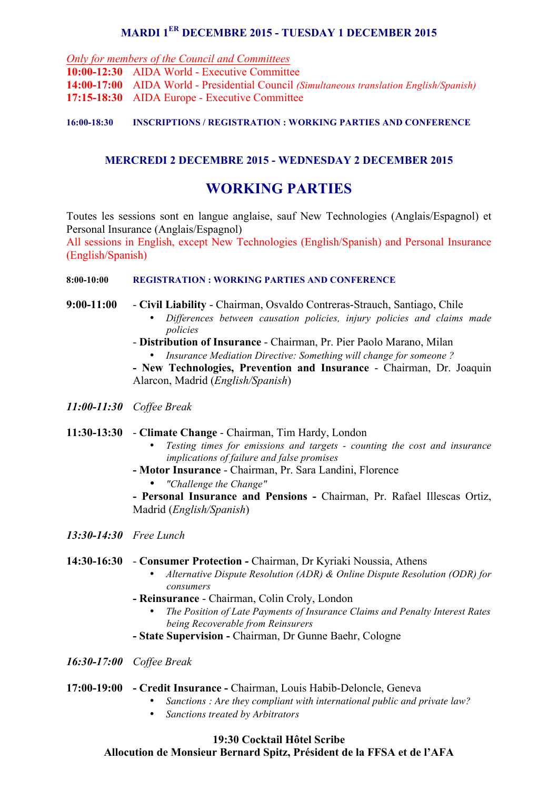### **MARDI 1ER DECEMBRE 2015 - TUESDAY 1 DECEMBER 2015**

*Only for members of the Council and Committees*

**10:00-12:30** AIDA World - Executive Committee **14:00-17:00** AIDA World - Presidential Council *(Simultaneous translation English/Spanish)* **17:15-18:30** AIDA Europe - Executive Committee

#### **16:00-18:30 INSCRIPTIONS / REGISTRATION : WORKING PARTIES AND CONFERENCE**

#### **MERCREDI 2 DECEMBRE 2015 - WEDNESDAY 2 DECEMBER 2015**

# **WORKING PARTIES**

Toutes les sessions sont en langue anglaise, sauf New Technologies (Anglais/Espagnol) et Personal Insurance (Anglais/Espagnol)

All sessions in English, except New Technologies (English/Spanish) and Personal Insurance (English/Spanish)

#### **8:00-10:00 REGISTRATION : WORKING PARTIES AND CONFERENCE**

**9:00-11:00** - **Civil Liability** - Chairman, Osvaldo Contreras-Strauch, Santiago, Chile

- *Differences between causation policies, injury policies and claims made policies*
- **Distribution of Insurance** Chairman, Pr. Pier Paolo Marano, Milan
	- *Insurance Mediation Directive: Something will change for someone ?*

**- New Technologies, Prevention and Insurance** - Chairman, Dr. Joaquin Alarcon, Madrid (*English/Spanish*)

- *11:00-11:30 Coffee Break*
- **11:30-13:30 Climate Change** Chairman, Tim Hardy, London
	- *Testing times for emissions and targets - counting the cost and insurance implications of failure and false promises*
	- **- Motor Insurance** Chairman, Pr. Sara Landini, Florence
		- *"Challenge the Change"*

**- Personal Insurance and Pensions -** Chairman, Pr. Rafael Illescas Ortiz, Madrid (*English/Spanish*)

#### *13:30-14:30 Free Lunch*

#### **14:30-16:30** - **Consumer Protection -** Chairman, Dr Kyriaki Noussia, Athens

- *Alternative Dispute Resolution (ADR) & Online Dispute Resolution (ODR) for consumers*
- **- Reinsurance** Chairman, Colin Croly, London
	- *The Position of Late Payments of Insurance Claims and Penalty Interest Rates being Recoverable from Reinsurers*
- **- State Supervision -** Chairman, Dr Gunne Baehr, Cologne
- *16:30-17:00 Coffee Break*

#### **17:00-19:00 - Credit Insurance -** Chairman, Louis Habib-Deloncle, Geneva

- *Sanctions : Are they compliant with international public and private law?*
- *Sanctions treated by Arbitrators*

#### **19:30 Cocktail Hôtel Scribe Allocution de Monsieur Bernard Spitz, Président de la FFSA et de l'AFA**